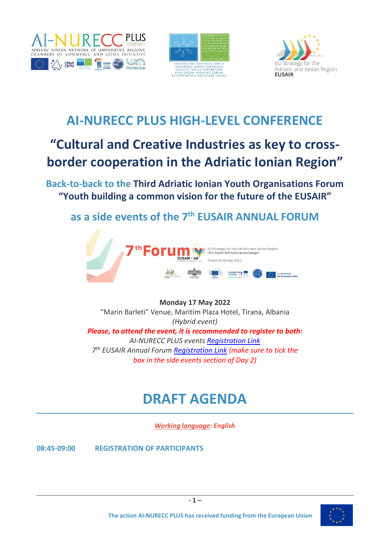





## **AI-NURECC PLUS HIGH-LEVEL CONFERENCE**

## **"Cultural and Creative Industries as key to crossborder cooperation in the Adriatic Ionian Region"**

**Back-to-back to the Third Adriatic Ionian Youth Organisations Forum "Youth building a common vision for the future of the EUSAIR"**

**as a side events of the 7 th EUSAIR ANNUAL FORUM** 



### **Monday 17 May 2022** "Marin Barleti" Venue, Maritim Plaza Hotel, Tirana, Albania *(Hybrid event) Please, to attend the event, it is recommended to register to both: AI-NURECC PLUS events [Registration Link](https://forms.gle/c8JeBkZc4zDA5SNm6) 7 th EUSAIR Annual Forum [Registration Link](https://www.adriatic-ionian.eu/event/7th-annual-eusair-forum/registration/) (make sure to tick the box in the side events section of Day 2)*

# **DRAFT AGENDA**

*Working language: English*

**08:45-09:00 REGISTRATION OF PARTICIPANTS**